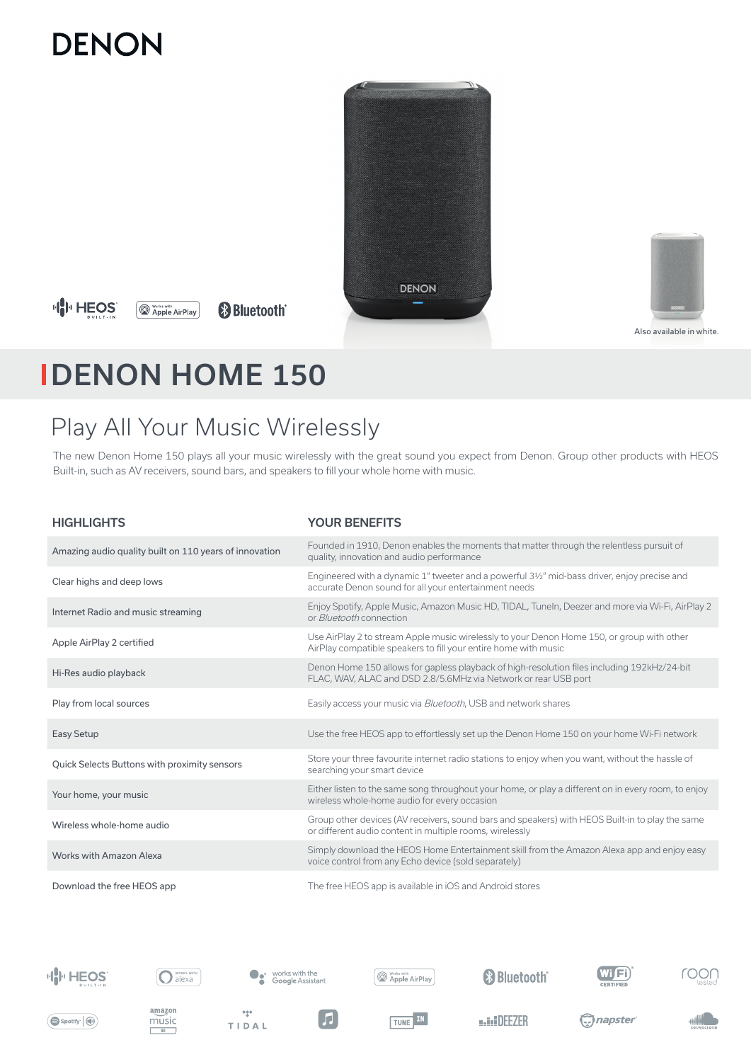# **DENON**



### **HH HEOS**

**Works with**<br> **Apple AirPlay &Bluetooth®** 



Also available in white.

## DENON HOME 150

### Play All Your Music Wirelessly

The new Denon Home 150 plays all your music wirelessly with the great sound you expect from Denon. Group other products with HEOS Built-in, such as AV receivers, sound bars, and speakers to fill your whole home with music.

| <b>HIGHLIGHTS</b>                                      | <b>YOUR BENEFITS</b>                                                                                                                                           |
|--------------------------------------------------------|----------------------------------------------------------------------------------------------------------------------------------------------------------------|
| Amazing audio quality built on 110 years of innovation | Founded in 1910, Denon enables the moments that matter through the relentless pursuit of<br>quality, innovation and audio performance                          |
| Clear highs and deep lows                              | Engineered with a dynamic 1" tweeter and a powerful 3½" mid-bass driver, enjoy precise and<br>accurate Denon sound for all your entertainment needs            |
| Internet Radio and music streaming                     | Enjoy Spotify, Apple Music, Amazon Music HD, TIDAL, Tuneln, Deezer and more via Wi-Fi, AirPlay 2<br>or <i>Bluetooth</i> connection                             |
| Apple AirPlay 2 certified                              | Use AirPlay 2 to stream Apple music wirelessly to your Denon Home 150, or group with other<br>AirPlay compatible speakers to fill your entire home with music  |
| Hi-Res audio playback                                  | Denon Home 150 allows for gapless playback of high-resolution files including 192kHz/24-bit<br>FLAC, WAV, ALAC and DSD 2.8/5.6MHz via Network or rear USB port |
| Play from local sources                                | Easily access your music via <i>Bluetooth</i> , USB and network shares                                                                                         |
| Easy Setup                                             | Use the free HEOS app to effortlessly set up the Denon Home 150 on your home Wi-Fi network                                                                     |
| Quick Selects Buttons with proximity sensors           | Store your three favourite internet radio stations to enjoy when you want, without the hassle of<br>searching your smart device                                |
| Your home, your music                                  | Either listen to the same song throughout your home, or play a different on in every room, to enjoy<br>wireless whole-home audio for every occasion            |
| Wireless whole-home audio                              | Group other devices (AV receivers, sound bars and speakers) with HEOS Built-in to play the same<br>or different audio content in multiple rooms, wirelessly    |
| Works with Amazon Alexa                                | Simply download the HEOS Home Entertainment skill from the Amazon Alexa app and enjoy easy<br>voice control from any Echo device (sold separately)             |
| Download the free HEOS app                             | The free HEOS app is available in iOS and Android stores                                                                                                       |





















 $\blacksquare$ 

 $\frac{1}{2}$ 

TIDAL

TUNE IN

**MAIN DEF7ER** 

C) napster